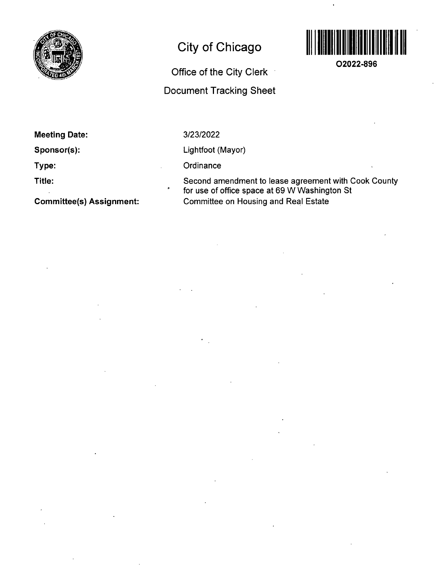

# **City of Ghicago**

**Office of the City Clerk** 

**Document Tracking Sheet** 



**O2022-896** 

| <b>Meeting Date:</b> |  |
|----------------------|--|
|----------------------|--|

**Sponsor(s):** 

**Type:** 

**Title:** 

**Committee(s) Assignment:** 

3/23/2022

Lightfoot (Mayor)

**Ordinance** 

.

Second amendment to lease agreement with Cook County for use of office space at 69 W Washington St Committee on Housing and Real Estate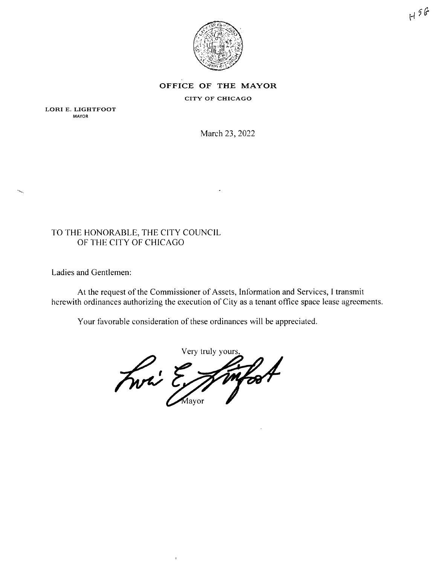

#### **OFFICE OF THE MAYOR**

#### CITY OF CHICAGO

LORI E. LIGHTFOOT MAYOR

March 23, 2022

# TO THE HONORABLE, THE CITY COUNCIL OF THE CITY OF CHICAGO

Ladies and Gentlemen:

At the request of the Commissioner of Assets, Information and Services, I transmit herewith ordinances authorizing the execution of City as a tenant office space lease agreements.

Your favorable consideration of these ordinances will be appreciated.

Very truly yours Timfoo

 $\mathbf{I}$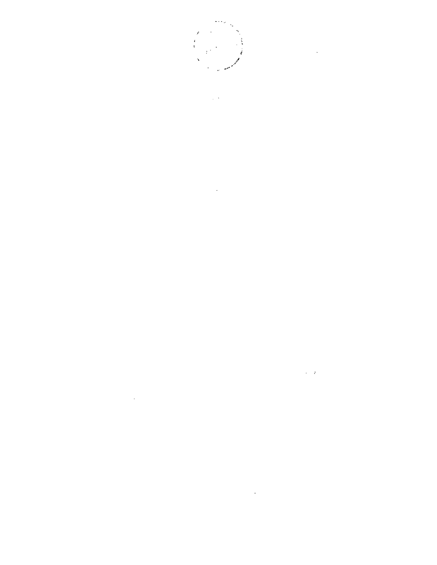

 $\mathcal{L}(\mathcal{L})$  .

 $\label{eq:2.1} \mathcal{L}(\mathcal{A})=\mathcal{L}(\mathcal{A})\otimes\mathcal{L}(\mathcal{A})\otimes\mathcal{L}(\mathcal{A})$ 

 $\mathcal{L}^{\mathcal{L}}(\mathcal{L}^{\mathcal{L}})$  and  $\mathcal{L}^{\mathcal{L}}(\mathcal{L}^{\mathcal{L}})$  . In the case of  $\mathcal{L}^{\mathcal{L}}$ 

 $\mathcal{L}^{\text{max}}_{\text{max}}$  and  $\mathcal{L}^{\text{max}}_{\text{max}}$ 

 $\label{eq:2.1} \mathcal{L}_{\mathcal{A}}(\mathcal{A}) = \mathcal{L}_{\mathcal{A}}(\mathcal{A}) = \mathcal{L}_{\mathcal{A}}(\mathcal{A})$ 

 $\mathcal{L}(\mathcal{L})$  and  $\mathcal{L}(\mathcal{L})$  and  $\mathcal{L}(\mathcal{L})$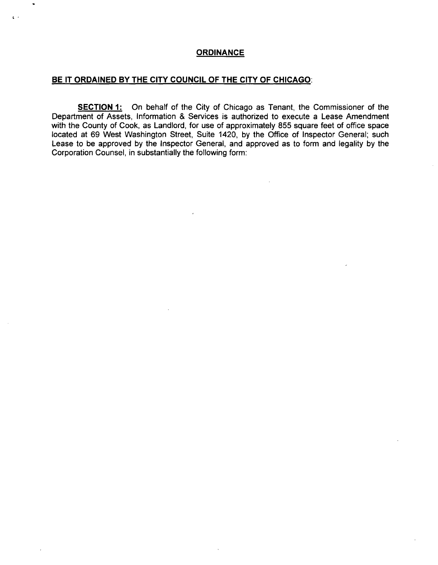## **ORDINANCE**

#### **BE IT ORDAINED BY THE CITY COUNCIL OF THE CITY OF CHICAGO:**

**SECTION 1:** On behalf of the City of Chicago as Tenant, the Commissioner of the Department of Assets, information & Services is authorized to execute a Lease Amendment with the County of Cook, as Landlord, for use of approximately 855 square feet of office space located at 69 West Washington Street, Suite 1420, by the Office of Inspector General; such Lease to be approved by the Inspector General, and approved as to form and legality by the Corporation Counsel, in substantially the following form: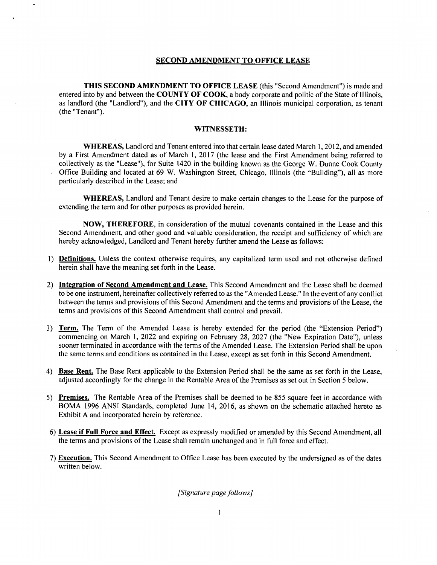#### **SECOND AMENDMENT TO OFFICE LEASE**

THIS SECOND AMENDMENT TO OFFICE LEASE (this "Second Amendment") is made and entered into by and between the COUNTY OF COOK, a body corporate and politic of the State of Illinois, as landlord (the "Landlord"), and the CITY OF CHICAGO, an Illinois municipal corporation, as tenant (the "Tenant").

#### **WITNESSETH:**

WHEREAS, Landlord and Tenant entered into that certain lease dated March 1, 2012, and amended by a First Amendment dated as of March I, 2017 (the lease and the First Amendment being referred to collectively as the "Lease"), for Suite 1420 in the building known as the George W. Dunne Cook County Office Building and located at 69 W. Washington Street, Chicago, Illinois (the "Building"), all as more particularly described in the Lease; and

WHEREAS, Landlord and Tenant desire to make certain changes to the Lease for the purpose of extending the term and for other purposes as provided herein.

NOW, THEREFORE, in consideration of the mutual covenants contained in the Lease and this Second Amendment, and other good and valuable consideration, the receipt and sufficiency of which are hereby acknowledged. Landlord and Tenant hereby further amend the Lease as follows:

- 1) **Definitions.** Unless the context otherwise requires, any capitalized term used and not otherwise defined herein shall have the meaning set forth in the Lease.
- 2) Integration of Second Amendment and Lease. This Second Amendment and the Lease shall be deemed to be one instrument, hereinafter collectively referred to as the "Amended Lease." In the event of any conflict between the terms and provisions ofthis Second Amendment and the terms and provisions of the Lease, the terms and provisions of this Second Amendment shall control and prevail.
- 3) Term. The Term of the Amended Lease is hereby extended for the period (the "Extension Period") commencing on March 1, 2022 and expiring on February 28, 2027 (the "New Expiration Date"), unless sooner terminated in accordance with the terms of the Amended Lease. The Extension Period shall be upon the same terms and conditions as contained in the Lease, except as set forth in this Second Amendment.
- 4) Base Rent. The Base Rent applicable to the Extension Period shall be the same as set forth in the Lease, adjusted accordingly for the change in the Rentable Area of the Premises as set out in Section 5 below.
- 5) Premises. The Rentable Area of the Premises shall be deemed to be 855 square feet in accordance with BOMA 1996 ANSI Standards, completed June 14, 2016, as shown on the schematic attached hereto as Exhibit A and incorporated herein by reference.
- 6) Lease if Full Force and Effect. Except as expressly modified or amended by this Second Amendment, all the terms and provisions of the Lease shall remain unchanged and in full force and effect.
- 7) Execution. This Second Amendment to Office Lease has been executed by the undersigned as of the dates written below.

*[Signature page followsJ*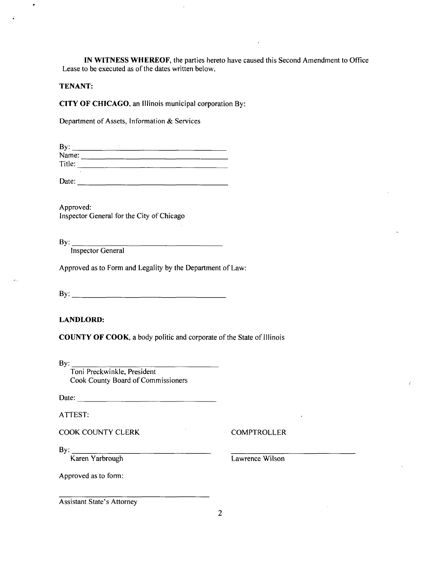IN WITNESS WHEREOF, the parties hereto have caused this Second Amendment to Office Lease to be executed as of the dates written below.

**TENANT:** 

 $\cdot$ 

CITY OF CHICAGO, an Illinois municipal corporation By:

Department of Assets, Information & Services

| By:    |  |  |
|--------|--|--|
| Name:  |  |  |
| Title: |  |  |
|        |  |  |

Date:

Approved: Inspector General for the City of Chicago

**By:.** 

Inspector General

Approved as to Form and Legality by the Department of Law:

**By:** 

**LANDLORD:** 

COUNTY OF COOK, a body politic and corporate of the State of Illinois

 $\sim$ 

**By:** 

Toni Preckwinkle, President Cook County Board of Commissioners

Date:

ATTEST:

COOK COUNTY CLERK

**COMPTROLLER** 

By:

Karen Yarbrough

Lawrence Wilson

Approved as to form:

Assistant State's Attorney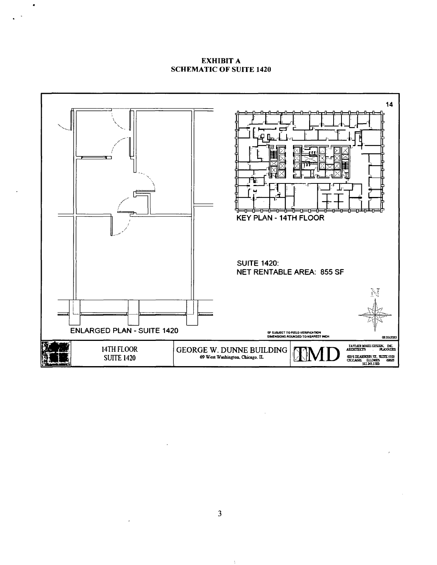#### **EXHIBIT A SCHEMATIC OF SUITE 1420**